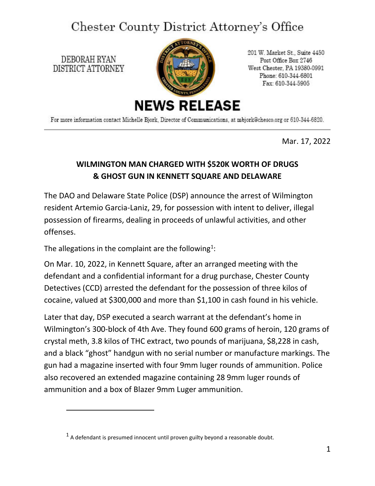## Chester County District Attorney's Office

DEBORAH RYAN DISTRICT ATTORNEY



201 W. Market St., Suite 4450 Post Office Box 2746 West Chester, PA 19380-0991 Phone: 610-344-6801 Fax: 610-344-5905

For more information contact Michelle Bjork, Director of Communications, at mbjork@chesco.org or 610-344-6820.

Mar. 17, 2022

## **WILMINGTON MAN CHARGED WITH \$520K WORTH OF DRUGS & GHOST GUN IN KENNETT SQUARE AND DELAWARE**

The DAO and Delaware State Police (DSP) announce the arrest of Wilmington resident Artemio Garcia-Laniz, 29, for possession with intent to deliver, illegal possession of firearms, dealing in proceeds of unlawful activities, and other offenses.

The allegations in the complaint are the following<sup>1</sup>:

On Mar. 10, 2022, in Kennett Square, after an arranged meeting with the defendant and a confidential informant for a drug purchase, Chester County Detectives (CCD) arrested the defendant for the possession of three kilos of cocaine, valued at \$300,000 and more than \$1,100 in cash found in his vehicle.

Later that day, DSP executed a search warrant at the defendant's home in Wilmington's 300-block of 4th Ave. They found 600 grams of heroin, 120 grams of crystal meth, 3.8 kilos of THC extract, two pounds of marijuana, \$8,228 in cash, and a black "ghost" handgun with no serial number or manufacture markings. The gun had a magazine inserted with four 9mm luger rounds of ammunition. Police also recovered an extended magazine containing 28 9mm luger rounds of ammunition and a box of Blazer 9mm Luger ammunition.

<span id="page-0-0"></span> $<sup>1</sup>$  A defendant is presumed innocent until proven guilty beyond a reasonable doubt.</sup>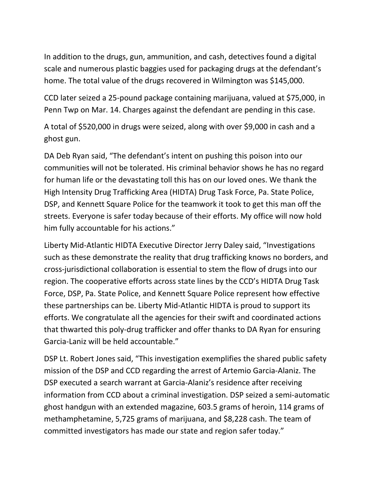In addition to the drugs, gun, ammunition, and cash, detectives found a digital scale and numerous plastic baggies used for packaging drugs at the defendant's home. The total value of the drugs recovered in Wilmington was \$145,000.

CCD later seized a 25-pound package containing marijuana, valued at \$75,000, in Penn Twp on Mar. 14. Charges against the defendant are pending in this case.

A total of \$520,000 in drugs were seized, along with over \$9,000 in cash and a ghost gun.

DA Deb Ryan said, "The defendant's intent on pushing this poison into our communities will not be tolerated. His criminal behavior shows he has no regard for human life or the devastating toll this has on our loved ones. We thank the High Intensity Drug Trafficking Area (HIDTA) Drug Task Force, Pa. State Police, DSP, and Kennett Square Police for the teamwork it took to get this man off the streets. Everyone is safer today because of their efforts. My office will now hold him fully accountable for his actions."

Liberty Mid-Atlantic HIDTA Executive Director Jerry Daley said, "Investigations such as these demonstrate the reality that drug trafficking knows no borders, and cross-jurisdictional collaboration is essential to stem the flow of drugs into our region. The cooperative efforts across state lines by the CCD's HIDTA Drug Task Force, DSP, Pa. State Police, and Kennett Square Police represent how effective these partnerships can be. Liberty Mid-Atlantic HIDTA is proud to support its efforts. We congratulate all the agencies for their swift and coordinated actions that thwarted this poly-drug trafficker and offer thanks to DA Ryan for ensuring Garcia-Laniz will be held accountable."

DSP Lt. Robert Jones said, "This investigation exemplifies the shared public safety mission of the DSP and CCD regarding the arrest of Artemio Garcia-Alaniz. The DSP executed a search warrant at Garcia-Alaniz's residence after receiving information from CCD about a criminal investigation. DSP seized a semi-automatic ghost handgun with an extended magazine, 603.5 grams of heroin, 114 grams of methamphetamine, 5,725 grams of marijuana, and \$8,228 cash. The team of committed investigators has made our state and region safer today."